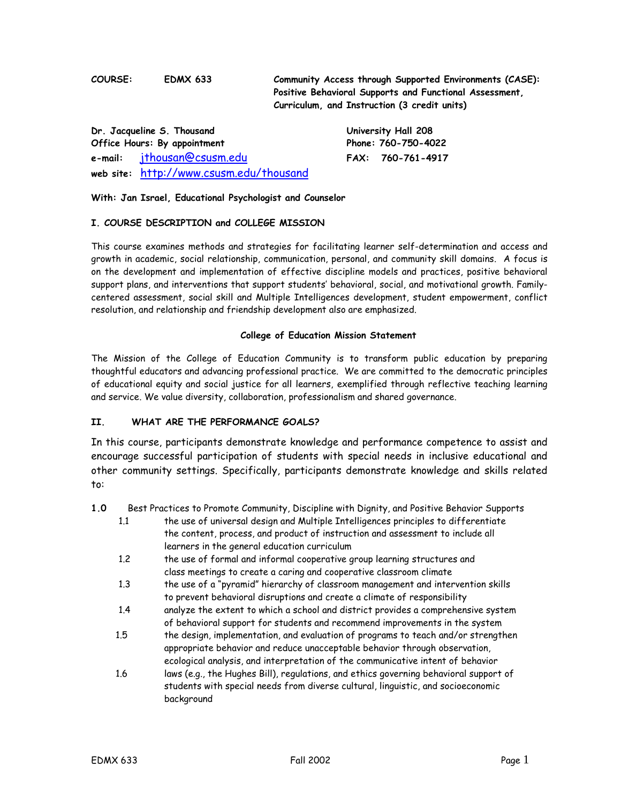**COURSE: EDMX 633 Community Access through Supported Environments (CASE): Positive Behavioral Supports and Functional Assessment, Curriculum, and Instruction (3 credit units)**

**Dr. Jacqueline S. Thousand University Hall 208 Office Hours: By appointment Phone: 760-750-4022 e-mail:** jthousan@csusm.edu **FAX: 760-761-4917 web site:** http://www.csusm.edu/thousand

## **With: Jan Israel, Educational Psychologist and Counselor**

#### **I. COURSE DESCRIPTION and COLLEGE MISSION**

This course examines methods and strategies for facilitating learner self-determination and access and growth in academic, social relationship, communication, personal, and community skill domains. A focus is on the development and implementation of effective discipline models and practices, positive behavioral support plans, and interventions that support students' behavioral, social, and motivational growth. Familycentered assessment, social skill and Multiple Intelligences development, student empowerment, conflict resolution, and relationship and friendship development also are emphasized.

#### **College of Education Mission Statement**

The Mission of the College of Education Community is to transform public education by preparing thoughtful educators and advancing professional practice. We are committed to the democratic principles of educational equity and social justice for all learners, exemplified through reflective teaching learning and service. We value diversity, collaboration, professionalism and shared governance.

## **II. WHAT ARE THE PERFORMANCE GOALS?**

In this course, participants demonstrate knowledge and performance competence to assist and encourage successful participation of students with special needs in inclusive educational and other community settings. Specifically, participants demonstrate knowledge and skills related to:

**1.0** Best Practices to Promote Community, Discipline with Dignity, and Positive Behavior Supports

- 1.1 the use of universal design and Multiple Intelligences principles to differentiate the content, process, and product of instruction and assessment to include all learners in the general education curriculum
- 1.2 the use of formal and informal cooperative group learning structures and class meetings to create a caring and cooperative classroom climate
- 1.3 the use of a "pyramid" hierarchy of classroom management and intervention skills to prevent behavioral disruptions and create a climate of responsibility
- 1.4 analyze the extent to which a school and district provides a comprehensive system of behavioral support for students and recommend improvements in the system
- 1.5 the design, implementation, and evaluation of programs to teach and/or strengthen appropriate behavior and reduce unacceptable behavior through observation, ecological analysis, and interpretation of the communicative intent of behavior
- 1.6 laws (e.g., the Hughes Bill), regulations, and ethics governing behavioral support of students with special needs from diverse cultural, linguistic, and socioeconomic background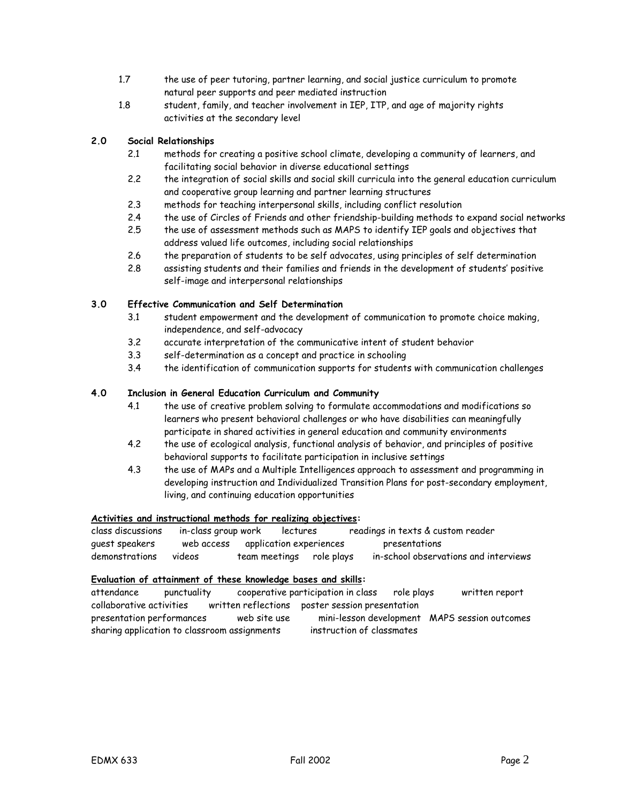- 1.7 the use of peer tutoring, partner learning, and social justice curriculum to promote natural peer supports and peer mediated instruction
- 1.8 student, family, and teacher involvement in IEP, ITP, and age of majority rights activities at the secondary level

# **2.0 Social Relationships**

- 2.1 methods for creating a positive school climate, developing a community of learners, and facilitating social behavior in diverse educational settings
- 2.2 the integration of social skills and social skill curricula into the general education curriculum and cooperative group learning and partner learning structures
- 2.3 methods for teaching interpersonal skills, including conflict resolution
- 2.4 the use of Circles of Friends and other friendship-building methods to expand social networks
- 2.5 the use of assessment methods such as MAPS to identify IEP goals and objectives that address valued life outcomes, including social relationships
- 2.6 the preparation of students to be self advocates, using principles of self determination
- 2.8 assisting students and their families and friends in the development of students' positive self-image and interpersonal relationships

# **3.0 Effective Communication and Self Determination**

- 3.1 student empowerment and the development of communication to promote choice making, independence, and self-advocacy
- 3.2 accurate interpretation of the communicative intent of student behavior
- 3.3 self-determination as a concept and practice in schooling
- 3.4 the identification of communication supports for students with communication challenges

# **4.0 Inclusion in General Education Curriculum and Community**

- 4.1 the use of creative problem solving to formulate accommodations and modifications so learners who present behavioral challenges or who have disabilities can meaningfully participate in shared activities in general education and community environments
- 4.2 the use of ecological analysis, functional analysis of behavior, and principles of positive behavioral supports to facilitate participation in inclusive settings
- 4.3 the use of MAPs and a Multiple Intelligences approach to assessment and programming in developing instruction and Individualized Transition Plans for post-secondary employment, living, and continuing education opportunities

# **Activities and instructional methods for realizing objectives:**

class discussions in-class group work lectures readings in texts & custom reader guest speakers web access application experiences presentations demonstrations videos team meetings role plays in-school observations and interviews

## **Evaluation of attainment of these knowledge bases and skills:**

attendance punctuality cooperative participation in class role plays written report collaborative activities written reflections poster session presentation presentation performances web site use mini-lesson development MAPS session outcomes sharing application to classroom assignments instruction of classmates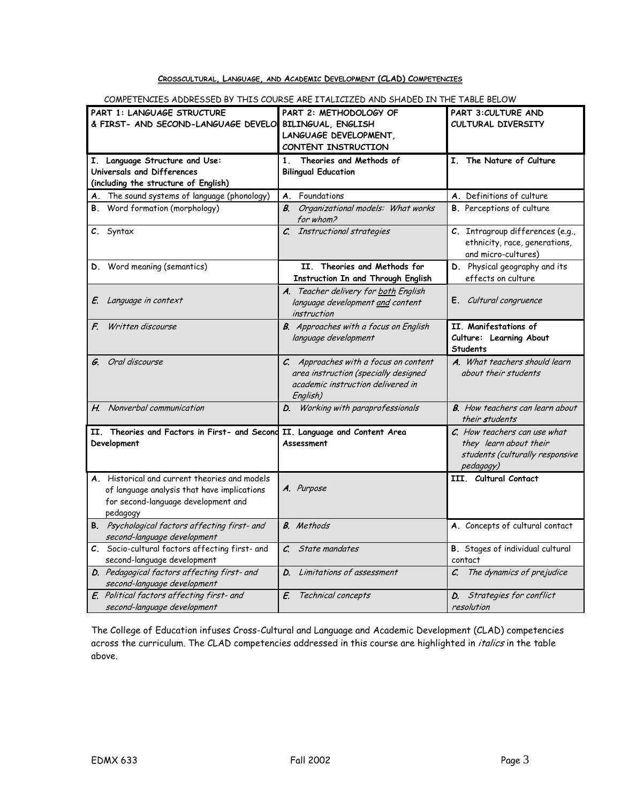# **CROSSCULTURAL, LANGUAGE, AND ACADEMIC DEVELOPMENT (CLAD) COMPETENCIES**

| COMEL FLINCILLO ADDREOGLO BY THIS COO                                                                                                           | LLU ANU JEIAULU IN TEIL TABLE BELUM                                                                                            |                                                                                                            |
|-------------------------------------------------------------------------------------------------------------------------------------------------|--------------------------------------------------------------------------------------------------------------------------------|------------------------------------------------------------------------------------------------------------|
| PART 1: LANGUAGE STRUCTURE<br>& FIRST- AND SECOND-LANGUAGE DEVELO                                                                               | PART 2: METHODOLOGY OF<br>BILINGUAL, ENGLISH<br>LANGUAGE DEVELOPMENT,<br>CONTENT INSTRUCTION                                   | PART 3: CULTURE AND<br>CULTURAL DIVERSITY                                                                  |
| Language Structure and Use:<br>I.<br>Universals and Differences<br>(including the structure of English)                                         | 1 <sub>1</sub><br>Theories and Methods of<br><b>Bilingual Education</b>                                                        | I. The Nature of Culture                                                                                   |
| A. The sound systems of language (phonology)                                                                                                    | Foundations<br>Α.                                                                                                              | A. Definitions of culture                                                                                  |
| <b>B.</b> Word formation (morphology)                                                                                                           | Organizational models: What works<br>$B_{\cdot}$<br>for whom?                                                                  | <b>B.</b> Perceptions of culture                                                                           |
| C. Syntax                                                                                                                                       | C. Instructional strategies                                                                                                    | C. Intragroup differences (e.g.,<br>ethnicity, race, generations,<br>and micro-cultures)                   |
| Word meaning (semantics)<br>D.                                                                                                                  | II. Theories and Methods for<br>Instruction In and Through English                                                             | D. Physical geography and its<br>effects on culture                                                        |
| Language in context<br>E.                                                                                                                       | A. Teacher delivery for both English<br>language development and content<br>instruction                                        | E. Cultural congruence                                                                                     |
| Written discourse<br>$\mathcal{F}$                                                                                                              | <b>B.</b> Approaches with a focus on English<br>language development                                                           | II. Manifestations of<br>Culture: Learning About<br><b>Students</b>                                        |
| Oral discourse                                                                                                                                  | C. Approaches with a focus on content<br>area instruction (specially designed<br>academic instruction delivered in<br>English) | A. What teachers should learn<br>about their students                                                      |
| H. Nonverbal communication                                                                                                                      | Working with paraprofessionals<br>D.                                                                                           | <b>B.</b> How teachers can learn about<br>their students                                                   |
| II. Theories and Factors in First- and Second<br>Development                                                                                    | II. Language and Content Area<br>Assessment                                                                                    | $Cr$ . How teachers can use what<br>they learn about their<br>students (culturally responsive<br>pedagogy) |
| A. Historical and current theories and models<br>of language analysis that have implications<br>for second-language development and<br>pedagogy | A. Purpose                                                                                                                     | III. Cultural Contact                                                                                      |
| B. Psychological factors affecting first- and<br>second-language development                                                                    | <b>B.</b> Methods                                                                                                              | A. Concepts of cultural contact                                                                            |
| C. Socio-cultural factors affecting first- and<br>second-language development                                                                   | $\mathcal{C}$<br>State mandates                                                                                                | <b>B.</b> Stages of individual cultural<br>contact                                                         |
| D. Pedagogical factors affecting first- and<br>second-language development                                                                      | Limitations of assessment<br>D.                                                                                                | The dynamics of prejudice<br>C.                                                                            |
| E. Political factors affecting first- and<br>second-language development                                                                        | Technical concepts<br>E.                                                                                                       | Strategies for conflict<br>D.<br>resolution                                                                |

COMPETENCIES ADDRESSED BY THIS COURSE ARE ITALICIZED AND SHADED IN THE TABLE BELOW

The College of Education infuses Cross-Cultural and Language and Academic Development (CLAD) competencies across the curriculum. The CLAD competencies addressed in this course are highlighted in *italics* in the table above.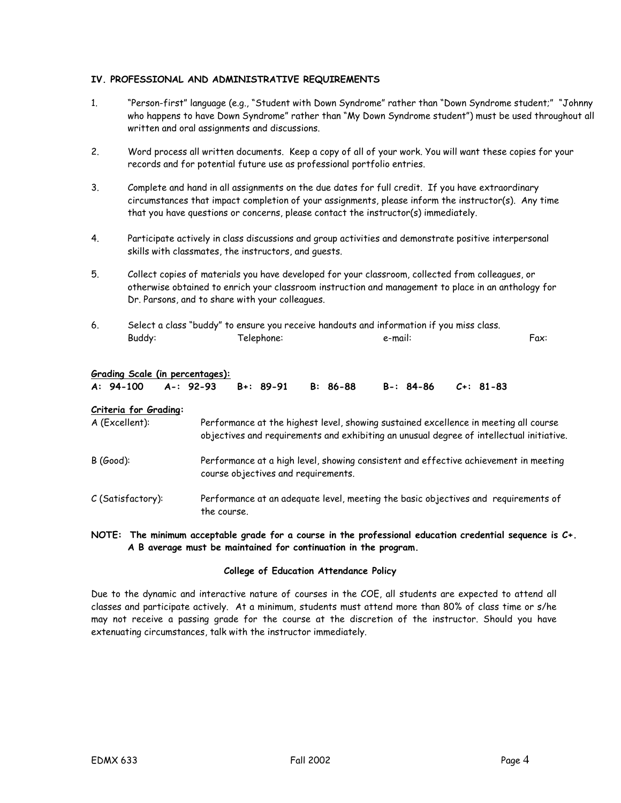### **IV. PROFESSIONAL AND ADMINISTRATIVE REQUIREMENTS**

- 1. "Person-first" language (e.g., "Student with Down Syndrome" rather than "Down Syndrome student;" "Johnny who happens to have Down Syndrome" rather than "My Down Syndrome student") must be used throughout all written and oral assignments and discussions.
- 2. Word process all written documents. Keep a copy of all of your work. You will want these copies for your records and for potential future use as professional portfolio entries.
- 3. Complete and hand in all assignments on the due dates for full credit. If you have extraordinary circumstances that impact completion of your assignments, please inform the instructor(s). Any time that you have questions or concerns, please contact the instructor(s) immediately.
- 4. Participate actively in class discussions and group activities and demonstrate positive interpersonal skills with classmates, the instructors, and guests.
- 5. Collect copies of materials you have developed for your classroom, collected from colleagues, or otherwise obtained to enrich your classroom instruction and management to place in an anthology for Dr. Parsons, and to share with your colleagues.
- 6. Select a class "buddy" to ensure you receive handouts and information if you miss class. Buddy: Telephone: e-mail: Fax:

#### **Grading Scale (in percentages):**

|  |  | A: 94-100 A-: 92-93 B+: 89-91 B: 86-88 B-: 84-86 C+: 81-83 |  |
|--|--|------------------------------------------------------------|--|
|  |  |                                                            |  |

#### **Criteria for Grading:**

| A (Excellent):    | Performance at the highest level, showing sustained excellence in meeting all course<br>objectives and requirements and exhibiting an unusual degree of intellectual initiative. |
|-------------------|----------------------------------------------------------------------------------------------------------------------------------------------------------------------------------|
| $B(Good)$ :       | Performance at a high level, showing consistent and effective achievement in meeting<br>course objectives and requirements.                                                      |
| C (Satisfactory): | Performance at an adequate level, meeting the basic objectives and requirements of<br>the course.                                                                                |

#### **NOTE: The minimum acceptable grade for a course in the professional education credential sequence is C+. A B average must be maintained for continuation in the program.**

#### **College of Education Attendance Policy**

Due to the dynamic and interactive nature of courses in the COE, all students are expected to attend all classes and participate actively. At a minimum, students must attend more than 80% of class time or s/he may not receive a passing grade for the course at the discretion of the instructor. Should you have extenuating circumstances, talk with the instructor immediately.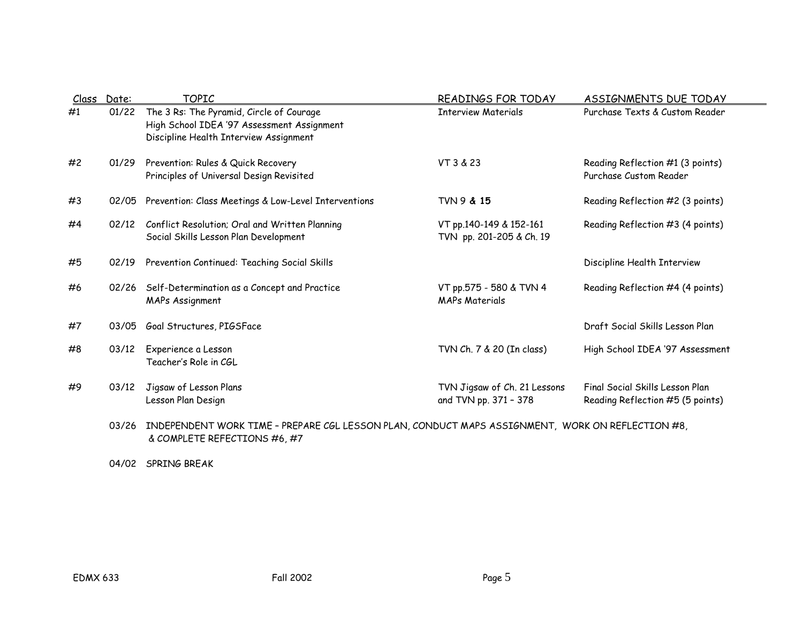| Class | Date: | <b>TOPIC</b>                                                                                                                     | READINGS FOR TODAY                                    | <b>ASSIGNMENTS DUE TODAY</b>                                        |
|-------|-------|----------------------------------------------------------------------------------------------------------------------------------|-------------------------------------------------------|---------------------------------------------------------------------|
| #1    | 01/22 | The 3 Rs: The Pyramid, Circle of Courage<br>High School IDEA '97 Assessment Assignment<br>Discipline Health Interview Assignment | <b>Interview Materials</b>                            | Purchase Texts & Custom Reader                                      |
| #2    | 01/29 | Prevention: Rules & Quick Recovery<br>Principles of Universal Design Revisited                                                   | VT 3 & 23                                             | Reading Reflection #1 (3 points)<br>Purchase Custom Reader          |
| #3    | 02/05 | Prevention: Class Meetings & Low-Level Interventions                                                                             | <b>TVN 9 &amp; 15</b>                                 | Reading Reflection #2 (3 points)                                    |
| #4    | 02/12 | Conflict Resolution; Oral and Written Planning<br>Social Skills Lesson Plan Development                                          | VT pp.140-149 & 152-161<br>TVN pp. 201-205 & Ch. 19   | Reading Reflection #3 (4 points)                                    |
| #5    | 02/19 | Prevention Continued: Teaching Social Skills                                                                                     |                                                       | Discipline Health Interview                                         |
| #6    | 02/26 | Self-Determination as a Concept and Practice<br><b>MAPs Assignment</b>                                                           | VT pp.575 - 580 & TVN 4<br><b>MAPs Materials</b>      | Reading Reflection #4 (4 points)                                    |
| #7    | 03/05 | Goal Structures, PIGSFace                                                                                                        |                                                       | Draft Social Skills Lesson Plan                                     |
| #8    | 03/12 | Experience a Lesson<br>Teacher's Role in CGL                                                                                     | TVN Ch. 7 & 20 (In class)                             | High School IDEA '97 Assessment                                     |
| #9    | 03/12 | Jigsaw of Lesson Plans<br>Lesson Plan Design                                                                                     | TVN Jigsaw of Ch. 21 Lessons<br>and TVN pp. 371 - 378 | Final Social Skills Lesson Plan<br>Reading Reflection #5 (5 points) |
|       | 03/26 | INDEPENDENT WORK TIME - PREPARE CGL LESSON PLAN, CONDUCT MAPS ASSIGNMENT, WORK ON REFLECTION #8,                                 |                                                       |                                                                     |

& COMPLETE REFECTIONS #6, #7

04/02 SPRING BREAK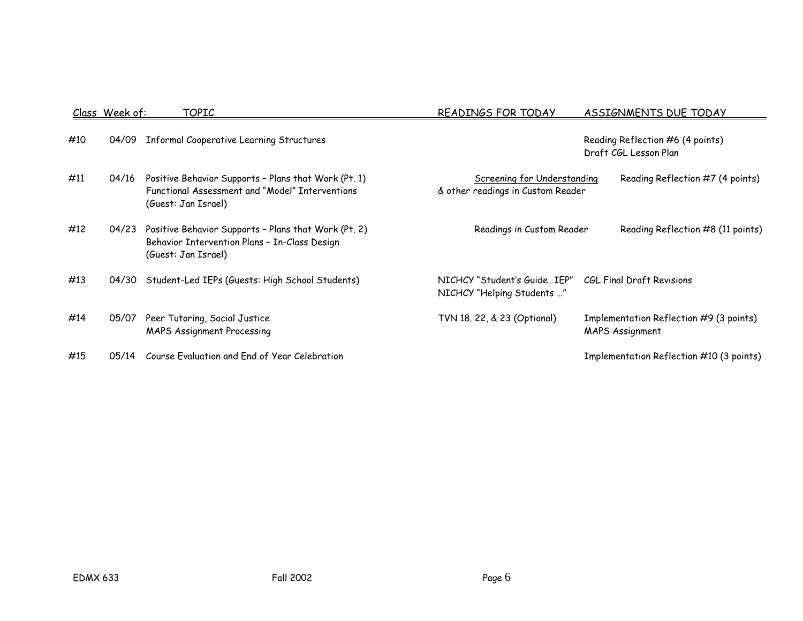|     | <u>Class Week of:</u> | <u>TOPIC</u>                                                                                                                   | READINGS FOR TODAY                                                      | <b>ASSIGNMENTS DUE TODAY</b>                               |
|-----|-----------------------|--------------------------------------------------------------------------------------------------------------------------------|-------------------------------------------------------------------------|------------------------------------------------------------|
| #10 | 04/09                 | <b>Informal Cooperative Learning Structures</b>                                                                                |                                                                         | Reading Reflection #6 (4 points)<br>Draft CGL Lesson Plan  |
| #11 | 04/16                 | Positive Behavior Supports - Plans that Work (Pt. 1)<br>Functional Assessment and "Model" Interventions<br>(Guest: Jan Israel) | <b>Screening for Understanding</b><br>& other readings in Custom Reader | Reading Reflection #7 (4 points)                           |
| #12 | 04/23                 | Positive Behavior Supports - Plans that Work (Pt. 2)<br>Behavior Intervention Plans - In-Class Design<br>(Guest: Jan Israel)   | Readings in Custom Reader                                               | Reading Reflection #8 (11 points)                          |
| #13 | 04/30                 | Student-Led IEPs (Guests: High School Students)                                                                                | NICHCY "Student's GuideIEP"<br>NICHCY "Helping Students "               | CGL Final Draft Revisions                                  |
| #14 | 05/07                 | Peer Tutoring, Social Justice<br><b>MAPS Assignment Processing</b>                                                             | TVN 18. 22, & 23 (Optional)                                             | Implementation Reflection #9 (3 points)<br>MAPS Assignment |
| #15 | 05/14                 | Course Evaluation and End of Year Celebration                                                                                  |                                                                         | Implementation Reflection #10 (3 points)                   |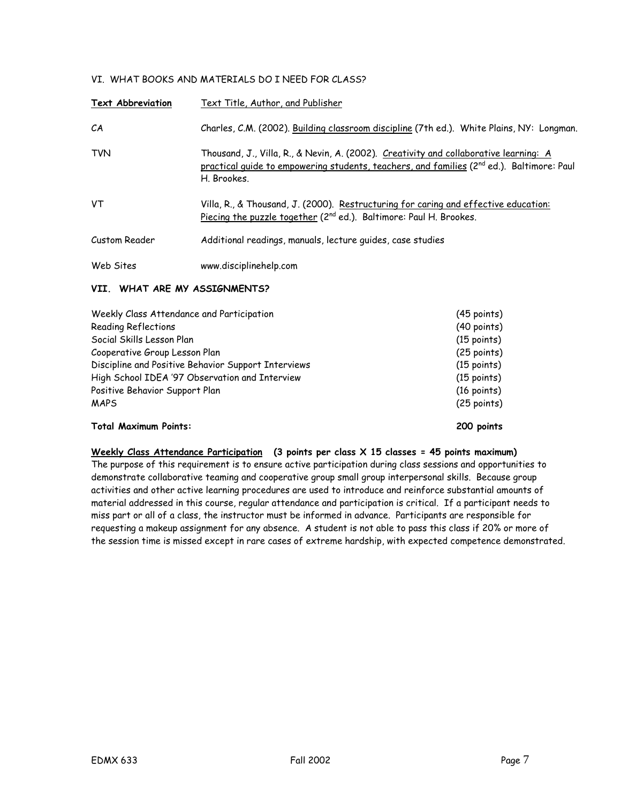# VI. WHAT BOOKS AND MATERIALS DO I NEED FOR CLASS?

| <b>Text Abbreviation</b> | Text Title, Author, and Publisher                                                                                                                                                                             |
|--------------------------|---------------------------------------------------------------------------------------------------------------------------------------------------------------------------------------------------------------|
| CА                       | Charles, C.M. (2002). Building classroom discipline (7th ed.). White Plains, NY: Longman.                                                                                                                     |
| <b>TVN</b>               | Thousand, J., Villa, R., & Nevin, A. (2002). Creativity and collaborative learning: A<br>practical quide to empowering students, teachers, and families (2 <sup>nd</sup> ed.). Baltimore: Paul<br>H. Brookes. |
| VT                       | Villa, R., & Thousand, J. (2000). Restructuring for caring and effective education:<br>Piecing the puzzle together ( $2^{nd}$ ed.). Baltimore: Paul H. Brookes.                                               |
| Custom Reader            | Additional readings, manuals, lecture quides, case studies                                                                                                                                                    |
| Web Sites                | www.disciplinehelp.com                                                                                                                                                                                        |

#### **VII. WHAT ARE MY ASSIGNMENTS?**

| Weekly Class Attendance and Participation           | $(45$ points)         |
|-----------------------------------------------------|-----------------------|
| Reading Reflections                                 | $(40$ points)         |
| Social Skills Lesson Plan                           | $(15$ points)         |
| Cooperative Group Lesson Plan                       | $(25$ points)         |
| Discipline and Positive Behavior Support Interviews | $(15$ points)         |
| High School IDEA '97 Observation and Interview      | $(15$ points)         |
| Positive Behavior Support Plan                      | $(16 \text{ points})$ |
| <b>MAPS</b>                                         | $(25$ points)         |
| <b>Total Maximum Points:</b>                        | 200 points            |

# **Weekly Class Attendance Participation (3 points per class X 15 classes = 45 points maximum)**

The purpose of this requirement is to ensure active participation during class sessions and opportunities to demonstrate collaborative teaming and cooperative group small group interpersonal skills. Because group activities and other active learning procedures are used to introduce and reinforce substantial amounts of material addressed in this course, regular attendance and participation is critical. If a participant needs to miss part or all of a class, the instructor must be informed in advance. Participants are responsible for requesting a makeup assignment for any absence. A student is not able to pass this class if 20% or more of the session time is missed except in rare cases of extreme hardship, with expected competence demonstrated.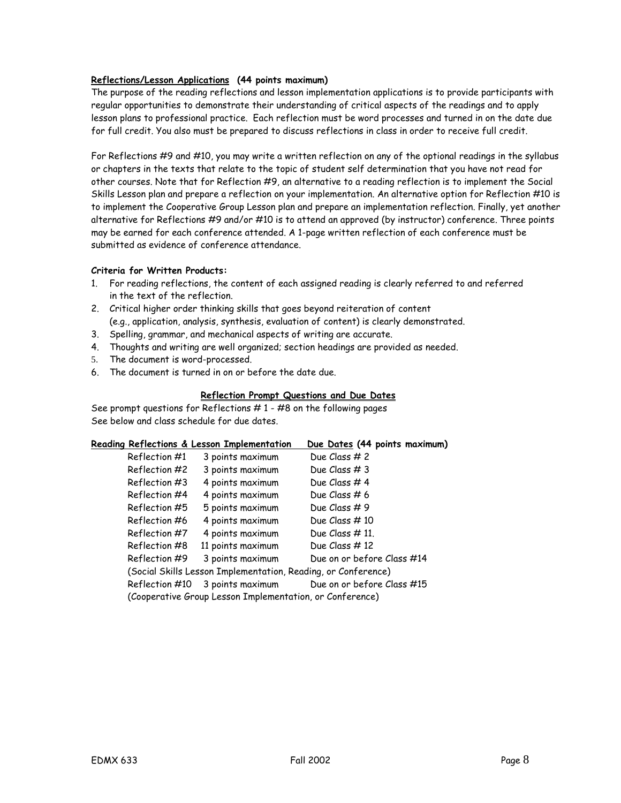# **Reflections/Lesson Applications (44 points maximum)**

The purpose of the reading reflections and lesson implementation applications is to provide participants with regular opportunities to demonstrate their understanding of critical aspects of the readings and to apply lesson plans to professional practice. Each reflection must be word processes and turned in on the date due for full credit. You also must be prepared to discuss reflections in class in order to receive full credit.

For Reflections #9 and #10, you may write a written reflection on any of the optional readings in the syllabus or chapters in the texts that relate to the topic of student self determination that you have not read for other courses. Note that for Reflection #9, an alternative to a reading reflection is to implement the Social Skills Lesson plan and prepare a reflection on your implementation. An alternative option for Reflection #10 is to implement the Cooperative Group Lesson plan and prepare an implementation reflection. Finally, yet another alternative for Reflections #9 and/or #10 is to attend an approved (by instructor) conference. Three points may be earned for each conference attended. A 1-page written reflection of each conference must be submitted as evidence of conference attendance.

# **Criteria for Written Products:**

- 1. For reading reflections, the content of each assigned reading is clearly referred to and referred in the text of the reflection.
- 2. Critical higher order thinking skills that goes beyond reiteration of content (e.g., application, analysis, synthesis, evaluation of content) is clearly demonstrated.
- 3. Spelling, grammar, and mechanical aspects of writing are accurate.
- 4. Thoughts and writing are well organized; section headings are provided as needed.
- 5. The document is word-processed.
- 6. The document is turned in on or before the date due.

## **Reflection Prompt Questions and Due Dates**

See prompt questions for Reflections  $# 1 - #8$  on the following pages See below and class schedule for due dates.

|                | Reading Reflections & Lesson Implementation                   | Due Dates (44 points maximum) |
|----------------|---------------------------------------------------------------|-------------------------------|
| Reflection #1  | 3 points maximum                                              | Due Class # 2                 |
| Reflection #2  | 3 points maximum                                              | Due Class #3                  |
| Reflection #3  | 4 points maximum                                              | Due Class #4                  |
| Reflection #4  | 4 points maximum                                              | Due Class # 6                 |
| Reflection #5  | 5 points maximum                                              | Due Class #9                  |
| Reflection #6  | 4 points maximum                                              | Due Class $#10$               |
| Reflection #7  | 4 points maximum                                              | Due Class $# 11$ .            |
| Reflection #8  | 11 points maximum                                             | Due Class #12                 |
| Reflection #9  | 3 points maximum                                              | Due on or before Class #14    |
|                | (Social Skills Lesson Implementation, Reading, or Conference) |                               |
| Reflection #10 | 3 points maximum                                              | Due on or before Class #15    |
|                | (Cooperative Group Lesson Implementation, or Conference)      |                               |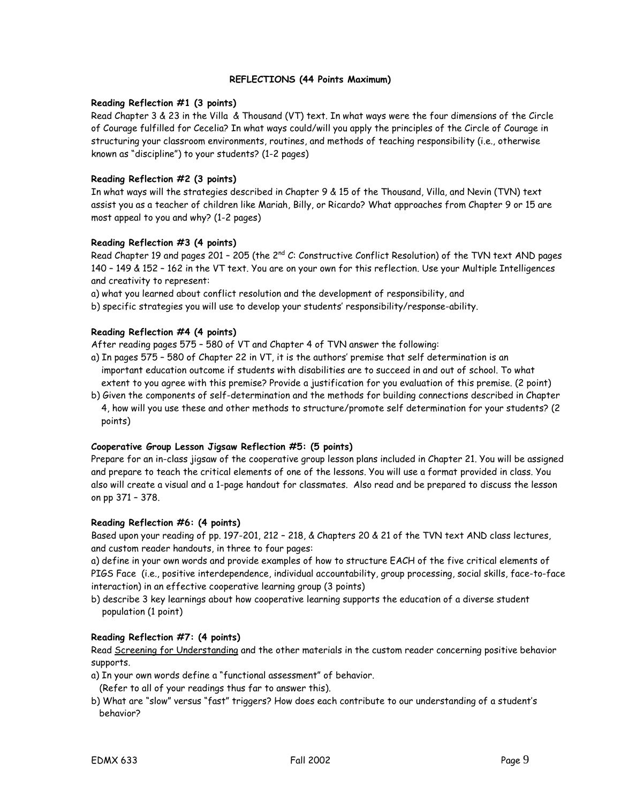#### **REFLECTIONS (44 Points Maximum)**

#### **Reading Reflection #1 (3 points)**

Read Chapter 3 & 23 in the Villa & Thousand (VT) text. In what ways were the four dimensions of the Circle of Courage fulfilled for Cecelia? In what ways could/will you apply the principles of the Circle of Courage in structuring your classroom environments, routines, and methods of teaching responsibility (i.e., otherwise known as "discipline") to your students? (1-2 pages)

## **Reading Reflection #2 (3 points)**

In what ways will the strategies described in Chapter 9 & 15 of the Thousand, Villa, and Nevin (TVN) text assist you as a teacher of children like Mariah, Billy, or Ricardo? What approaches from Chapter 9 or 15 are most appeal to you and why? (1-2 pages)

## **Reading Reflection #3 (4 points)**

Read Chapter 19 and pages 201 – 205 (the 2<sup>nd</sup> C: Constructive Conflict Resolution) of the TVN text AND pages 140 – 149 & 152 – 162 in the VT text. You are on your own for this reflection. Use your Multiple Intelligences and creativity to represent:

a) what you learned about conflict resolution and the development of responsibility, and

b) specific strategies you will use to develop your students' responsibility/response-ability.

## **Reading Reflection #4 (4 points)**

After reading pages 575 – 580 of VT and Chapter 4 of TVN answer the following:

- a) In pages 575 580 of Chapter 22 in VT, it is the authors' premise that self determination is an important education outcome if students with disabilities are to succeed in and out of school. To what extent to you agree with this premise? Provide a justification for you evaluation of this premise. (2 point)
- b) Given the components of self-determination and the methods for building connections described in Chapter 4, how will you use these and other methods to structure/promote self determination for your students? (2 points)

## **Cooperative Group Lesson Jigsaw Reflection #5: (5 points)**

Prepare for an in-class jigsaw of the cooperative group lesson plans included in Chapter 21. You will be assigned and prepare to teach the critical elements of one of the lessons. You will use a format provided in class. You also will create a visual and a 1-page handout for classmates. Also read and be prepared to discuss the lesson on pp 371 – 378.

## **Reading Reflection #6: (4 points)**

Based upon your reading of pp. 197-201, 212 – 218, & Chapters 20 & 21 of the TVN text AND class lectures, and custom reader handouts, in three to four pages:

a) define in your own words and provide examples of how to structure EACH of the five critical elements of PIGS Face (i.e., positive interdependence, individual accountability, group processing, social skills, face-to-face interaction) in an effective cooperative learning group (3 points)

b) describe 3 key learnings about how cooperative learning supports the education of a diverse student population (1 point)

## **Reading Reflection #7: (4 points)**

Read Screening for Understanding and the other materials in the custom reader concerning positive behavior supports.

- a) In your own words define a "functional assessment" of behavior.
- (Refer to all of your readings thus far to answer this).
- b) What are "slow" versus "fast" triggers? How does each contribute to our understanding of a student's behavior?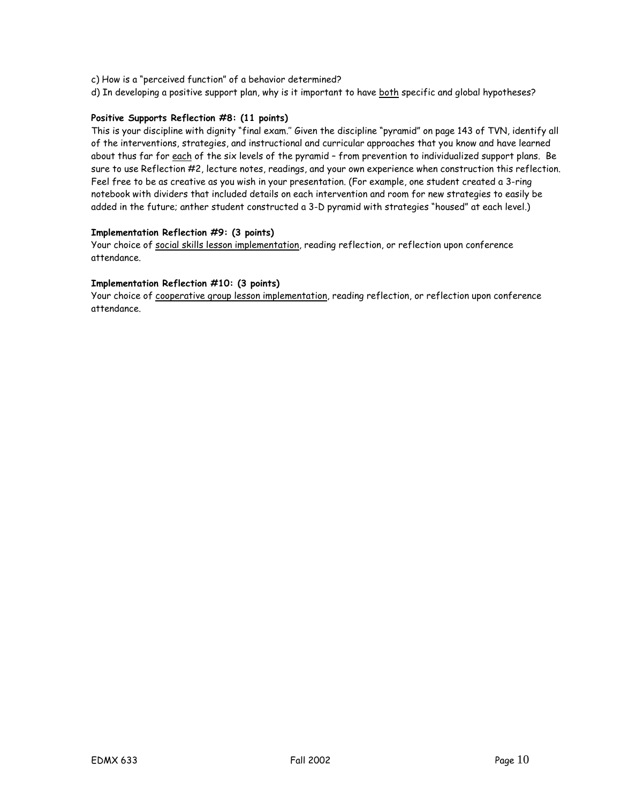- c) How is a "perceived function" of a behavior determined?
- d) In developing a positive support plan, why is it important to have both specific and global hypotheses?

## **Positive Supports Reflection #8: (11 points)**

This is your discipline with dignity "final exam.'' Given the discipline "pyramid" on page 143 of TVN, identify all of the interventions, strategies, and instructional and curricular approaches that you know and have learned about thus far for each of the six levels of the pyramid - from prevention to individualized support plans. Be sure to use Reflection #2, lecture notes, readings, and your own experience when construction this reflection. Feel free to be as creative as you wish in your presentation. (For example, one student created a 3-ring notebook with dividers that included details on each intervention and room for new strategies to easily be added in the future; anther student constructed a 3-D pyramid with strategies "housed" at each level.)

## **Implementation Reflection #9: (3 points)**

Your choice of social skills lesson implementation, reading reflection, or reflection upon conference attendance.

## **Implementation Reflection #10: (3 points)**

Your choice of cooperative group lesson implementation, reading reflection, or reflection upon conference attendance.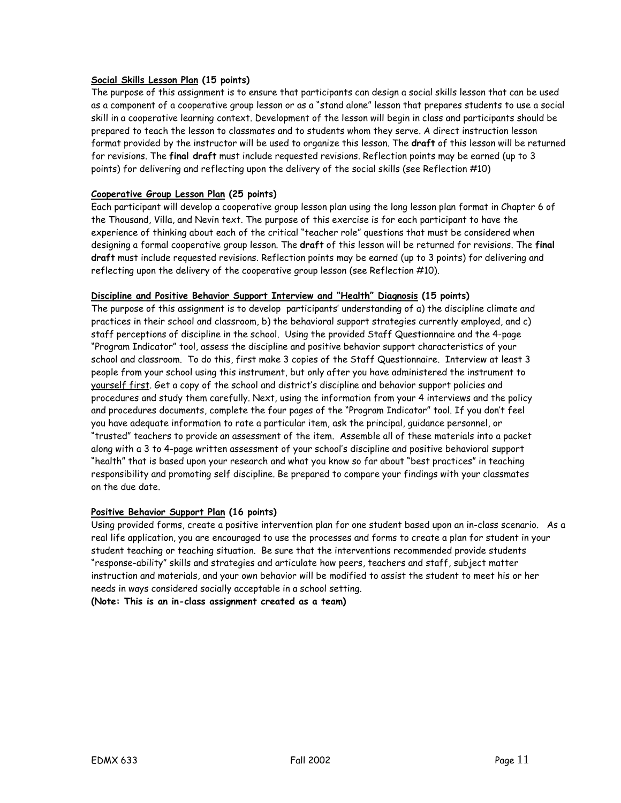## **Social Skills Lesson Plan (15 points)**

The purpose of this assignment is to ensure that participants can design a social skills lesson that can be used as a component of a cooperative group lesson or as a "stand alone" lesson that prepares students to use a social skill in a cooperative learning context. Development of the lesson will begin in class and participants should be prepared to teach the lesson to classmates and to students whom they serve. A direct instruction lesson format provided by the instructor will be used to organize this lesson. The **draft** of this lesson will be returned for revisions. The **final draft** must include requested revisions. Reflection points may be earned (up to 3 points) for delivering and reflecting upon the delivery of the social skills (see Reflection #10)

# **Cooperative Group Lesson Plan (25 points)**

Each participant will develop a cooperative group lesson plan using the long lesson plan format in Chapter 6 of the Thousand, Villa, and Nevin text. The purpose of this exercise is for each participant to have the experience of thinking about each of the critical "teacher role" questions that must be considered when designing a formal cooperative group lesson. The **draft** of this lesson will be returned for revisions. The **final draft** must include requested revisions. Reflection points may be earned (up to 3 points) for delivering and reflecting upon the delivery of the cooperative group lesson (see Reflection #10).

## **Discipline and Positive Behavior Support Interview and "Health" Diagnosis (15 points)**

The purpose of this assignment is to develop participants' understanding of a) the discipline climate and practices in their school and classroom, b) the behavioral support strategies currently employed, and c) staff perceptions of discipline in the school. Using the provided Staff Questionnaire and the 4-page "Program Indicator" tool, assess the discipline and positive behavior support characteristics of your school and classroom. To do this, first make 3 copies of the Staff Questionnaire. Interview at least 3 people from your school using this instrument, but only after you have administered the instrument to yourself first. Get a copy of the school and district's discipline and behavior support policies and procedures and study them carefully. Next, using the information from your 4 interviews and the policy and procedures documents, complete the four pages of the "Program Indicator" tool. If you don't feel you have adequate information to rate a particular item, ask the principal, guidance personnel, or "trusted" teachers to provide an assessment of the item. Assemble all of these materials into a packet along with a 3 to 4-page written assessment of your school's discipline and positive behavioral support "health" that is based upon your research and what you know so far about "best practices" in teaching responsibility and promoting self discipline. Be prepared to compare your findings with your classmates on the due date.

## **Positive Behavior Support Plan (16 points)**

Using provided forms, create a positive intervention plan for one student based upon an in-class scenario. As a real life application, you are encouraged to use the processes and forms to create a plan for student in your student teaching or teaching situation. Be sure that the interventions recommended provide students "response-ability" skills and strategies and articulate how peers, teachers and staff, subject matter instruction and materials, and your own behavior will be modified to assist the student to meet his or her needs in ways considered socially acceptable in a school setting. **(Note: This is an in-class assignment created as a team)**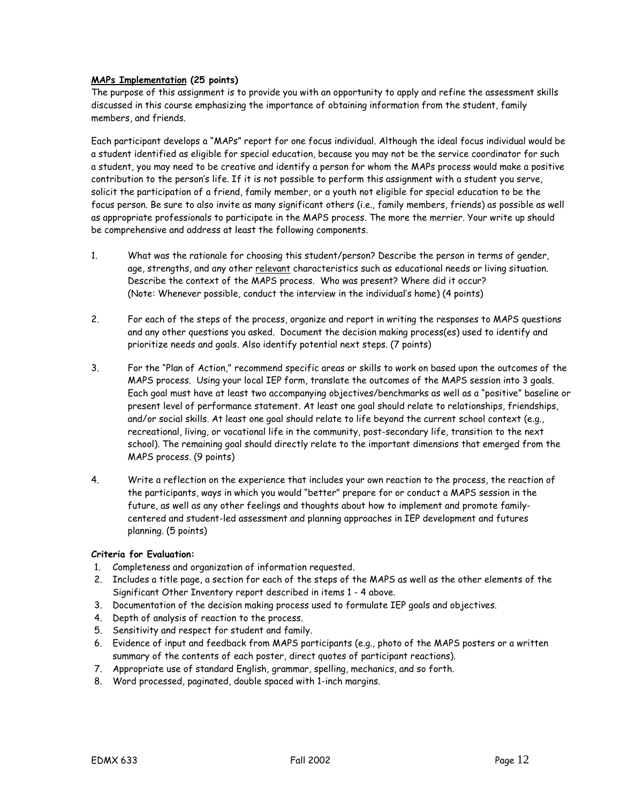## **MAPs Implementation (25 points)**

The purpose of this assignment is to provide you with an opportunity to apply and refine the assessment skills discussed in this course emphasizing the importance of obtaining information from the student, family members, and friends.

Each participant develops a "MAPs" report for one focus individual. Although the ideal focus individual would be a student identified as eligible for special education, because you may not be the service coordinator for such a student, you may need to be creative and identify a person for whom the MAPs process would make a positive contribution to the person's life. If it is not possible to perform this assignment with a student you serve, solicit the participation of a friend, family member, or a youth not eligible for special education to be the focus person. Be sure to also invite as many significant others (i.e., family members, friends) as possible as well as appropriate professionals to participate in the MAPS process. The more the merrier. Your write up should be comprehensive and address at least the following components.

- 1. What was the rationale for choosing this student/person? Describe the person in terms of gender, age, strengths, and any other relevant characteristics such as educational needs or living situation. Describe the context of the MAPS process. Who was present? Where did it occur? (Note: Whenever possible, conduct the interview in the individual's home) (4 points)
- 2. For each of the steps of the process, organize and report in writing the responses to MAPS questions and any other questions you asked. Document the decision making process(es) used to identify and prioritize needs and goals. Also identify potential next steps. (7 points)
- 3. For the "Plan of Action," recommend specific areas or skills to work on based upon the outcomes of the MAPS process. Using your local IEP form, translate the outcomes of the MAPS session into 3 goals. Each goal must have at least two accompanying objectives/benchmarks as well as a "positive" baseline or present level of performance statement. At least one goal should relate to relationships, friendships, and/or social skills. At least one goal should relate to life beyond the current school context (e.g., recreational, living, or vocational life in the community, post-secondary life, transition to the next school). The remaining goal should directly relate to the important dimensions that emerged from the MAPS process. (9 points)
- 4. Write a reflection on the experience that includes your own reaction to the process, the reaction of the participants, ways in which you would "better" prepare for or conduct a MAPS session in the future, as well as any other feelings and thoughts about how to implement and promote familycentered and student-led assessment and planning approaches in IEP development and futures planning. (5 points)

## **Criteria for Evaluation:**

- 1. Completeness and organization of information requested.
- 2. Includes a title page, a section for each of the steps of the MAPS as well as the other elements of the Significant Other Inventory report described in items 1 - 4 above.
- 3. Documentation of the decision making process used to formulate IEP goals and objectives.
- 4. Depth of analysis of reaction to the process.
- 5. Sensitivity and respect for student and family.
- 6. Evidence of input and feedback from MAPS participants (e.g., photo of the MAPS posters or a written summary of the contents of each poster, direct quotes of participant reactions).
- 7. Appropriate use of standard English, grammar, spelling, mechanics, and so forth.
- 8. Word processed, paginated, double spaced with 1-inch margins.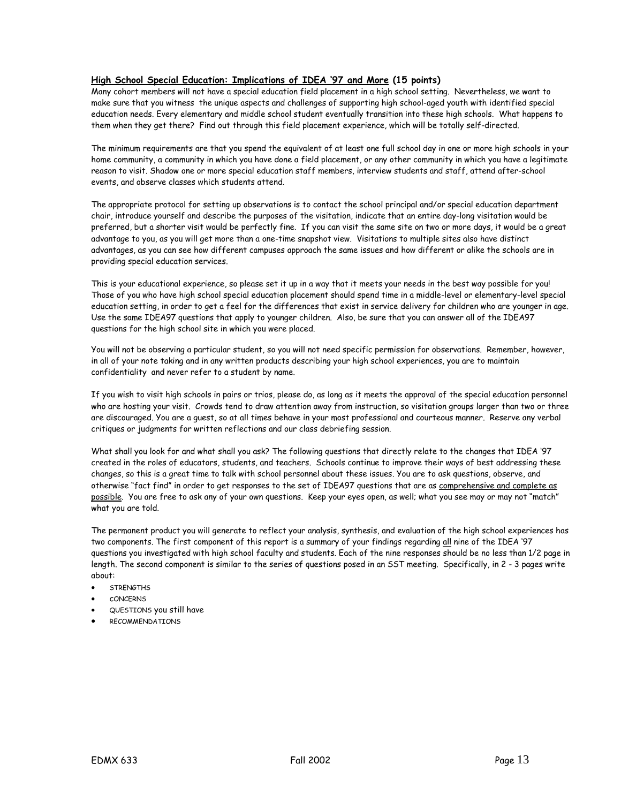#### **High School Special Education: Implications of IDEA '97 and More (15 points)**

Many cohort members will not have a special education field placement in a high school setting. Nevertheless, we want to make sure that you witness the unique aspects and challenges of supporting high school-aged youth with identified special education needs. Every elementary and middle school student eventually transition into these high schools. What happens to them when they get there? Find out through this field placement experience, which will be totally self-directed.

The minimum requirements are that you spend the equivalent of at least one full school day in one or more high schools in your home community, a community in which you have done a field placement, or any other community in which you have a legitimate reason to visit. Shadow one or more special education staff members, interview students and staff, attend after-school events, and observe classes which students attend.

The appropriate protocol for setting up observations is to contact the school principal and/or special education department chair, introduce yourself and describe the purposes of the visitation, indicate that an entire day-long visitation would be preferred, but a shorter visit would be perfectly fine. If you can visit the same site on two or more days, it would be a great advantage to you, as you will get more than a one-time snapshot view. Visitations to multiple sites also have distinct advantages, as you can see how different campuses approach the same issues and how different or alike the schools are in providing special education services.

This is your educational experience, so please set it up in a way that it meets your needs in the best way possible for you! Those of you who have high school special education placement should spend time in a middle-level or elementary-level special education setting, in order to get a feel for the differences that exist in service delivery for children who are younger in age. Use the same IDEA97 questions that apply to younger children. Also, be sure that you can answer all of the IDEA97 questions for the high school site in which you were placed.

You will not be observing a particular student, so you will not need specific permission for observations. Remember, however, in all of your note taking and in any written products describing your high school experiences, you are to maintain confidentiality and never refer to a student by name.

If you wish to visit high schools in pairs or trios, please do, as long as it meets the approval of the special education personnel who are hosting your visit. Crowds tend to draw attention away from instruction, so visitation groups larger than two or three are discouraged. You are a guest, so at all times behave in your most professional and courteous manner. Reserve any verbal critiques or judgments for written reflections and our class debriefing session.

What shall you look for and what shall you ask? The following questions that directly relate to the changes that IDEA '97 created in the roles of educators, students, and teachers. Schools continue to improve their ways of best addressing these changes, so this is a great time to talk with school personnel about these issues. You are to ask questions, observe, and otherwise "fact find" in order to get responses to the set of IDEA97 questions that are as comprehensive and complete as possible. You are free to ask any of your own questions. Keep your eyes open, as well; what you see may or may not "match" what you are told.

The permanent product you will generate to reflect your analysis, synthesis, and evaluation of the high school experiences has two components. The first component of this report is a summary of your findings regarding all nine of the IDEA '97 questions you investigated with high school faculty and students. Each of the nine responses should be no less than 1/2 page in length. The second component is similar to the series of questions posed in an SST meeting. Specifically, in 2 - 3 pages write about:

- **STRENGTHS**
- cONCERNS
- QUESTIONS you still have
- **RECOMMENDATIONS**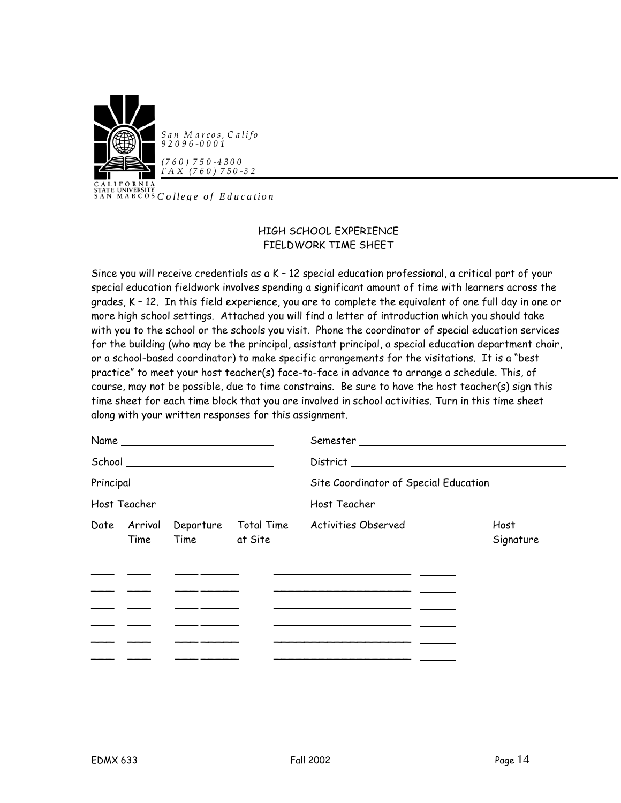

**CALL UNIVERSITY**<br>SAN MARCOS *College of Education* 

# HIGH SCHOOL EXPERIENCE FIELDWORK TIME SHEET

Since you will receive credentials as a K – 12 special education professional, a critical part of your special education fieldwork involves spending a significant amount of time with learners across the grades, K – 12. In this field experience, you are to complete the equivalent of one full day in one or more high school settings. Attached you will find a letter of introduction which you should take with you to the school or the schools you visit. Phone the coordinator of special education services for the building (who may be the principal, assistant principal, a special education department chair, or a school-based coordinator) to make specific arrangements for the visitations. It is a "best practice" to meet your host teacher(s) face-to-face in advance to arrange a schedule. This, of course, may not be possible, due to time constrains. Be sure to have the host teacher(s) sign this time sheet for each time block that you are involved in school activities. Turn in this time sheet along with your written responses for this assignment.

|                                                                                                                                                                                                                                      | Name                                                                                                                                                                                                                                                                                                                                                                |                                                                                                                      |                   |
|--------------------------------------------------------------------------------------------------------------------------------------------------------------------------------------------------------------------------------------|---------------------------------------------------------------------------------------------------------------------------------------------------------------------------------------------------------------------------------------------------------------------------------------------------------------------------------------------------------------------|----------------------------------------------------------------------------------------------------------------------|-------------------|
|                                                                                                                                                                                                                                      | School __________________________                                                                                                                                                                                                                                                                                                                                   |                                                                                                                      |                   |
|                                                                                                                                                                                                                                      | $\begin{picture}(25,10) \put(0,0){\vector(1,0){100}} \put(15,0){\vector(1,0){100}} \put(15,0){\vector(1,0){100}} \put(15,0){\vector(1,0){100}} \put(15,0){\vector(1,0){100}} \put(15,0){\vector(1,0){100}} \put(15,0){\vector(1,0){100}} \put(15,0){\vector(1,0){100}} \put(15,0){\vector(1,0){100}} \put(15,0){\vector(1,0){100}} \put(15,0){\vector(1,0){100}} \$ | Site Coordinator of Special Education __________                                                                     |                   |
|                                                                                                                                                                                                                                      | Host Teacher ___________________                                                                                                                                                                                                                                                                                                                                    |                                                                                                                      |                   |
|                                                                                                                                                                                                                                      | Time Time at Site                                                                                                                                                                                                                                                                                                                                                   | Date Arrival Departure Total Time Activities Observed                                                                | Host<br>Signature |
|                                                                                                                                                                                                                                      |                                                                                                                                                                                                                                                                                                                                                                     |                                                                                                                      |                   |
|                                                                                                                                                                                                                                      |                                                                                                                                                                                                                                                                                                                                                                     |                                                                                                                      |                   |
|                                                                                                                                                                                                                                      | <u> 1986 - Andrea Andrew Maria III (b. 1976)</u>                                                                                                                                                                                                                                                                                                                    | <u> 1980 - Jan Samuel Barbara, político establecer a la contrada de la contrada de la contrada de la contrada de</u> |                   |
| <u>and the contract of the contract of the contract of the contract of the contract of the contract of the contract of the contract of the contract of the contract of the contract of the contract of the contract of the contr</u> |                                                                                                                                                                                                                                                                                                                                                                     |                                                                                                                      |                   |
|                                                                                                                                                                                                                                      |                                                                                                                                                                                                                                                                                                                                                                     |                                                                                                                      |                   |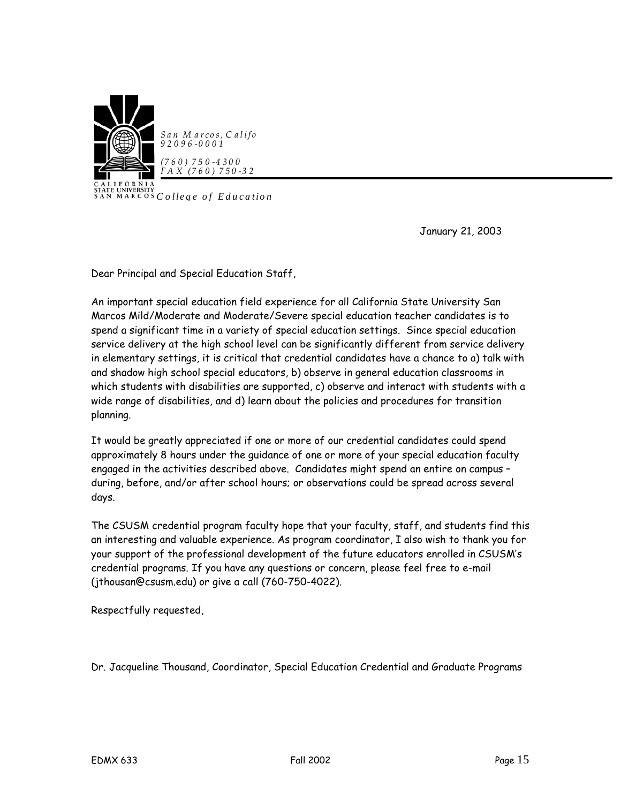

**CALL UNIVERSITY**<br>SAN MARCOS *College of Education* 

January 21, 2003

Dear Principal and Special Education Staff,

An important special education field experience for all California State University San Marcos Mild/Moderate and Moderate/Severe special education teacher candidates is to spend a significant time in a variety of special education settings. Since special education service delivery at the high school level can be significantly different from service delivery in elementary settings, it is critical that credential candidates have a chance to a) talk with and shadow high school special educators, b) observe in general education classrooms in which students with disabilities are supported, c) observe and interact with students with a wide range of disabilities, and d) learn about the policies and procedures for transition planning.

It would be greatly appreciated if one or more of our credential candidates could spend approximately 8 hours under the guidance of one or more of your special education faculty engaged in the activities described above. Candidates might spend an entire on campus – during, before, and/or after school hours; or observations could be spread across several days.

The CSUSM credential program faculty hope that your faculty, staff, and students find this an interesting and valuable experience. As program coordinator, I also wish to thank you for your support of the professional development of the future educators enrolled in CSUSM's credential programs. If you have any questions or concern, please feel free to e-mail (jthousan@csusm.edu) or give a call (760-750-4022).

Respectfully requested,

Dr. Jacqueline Thousand, Coordinator, Special Education Credential and Graduate Programs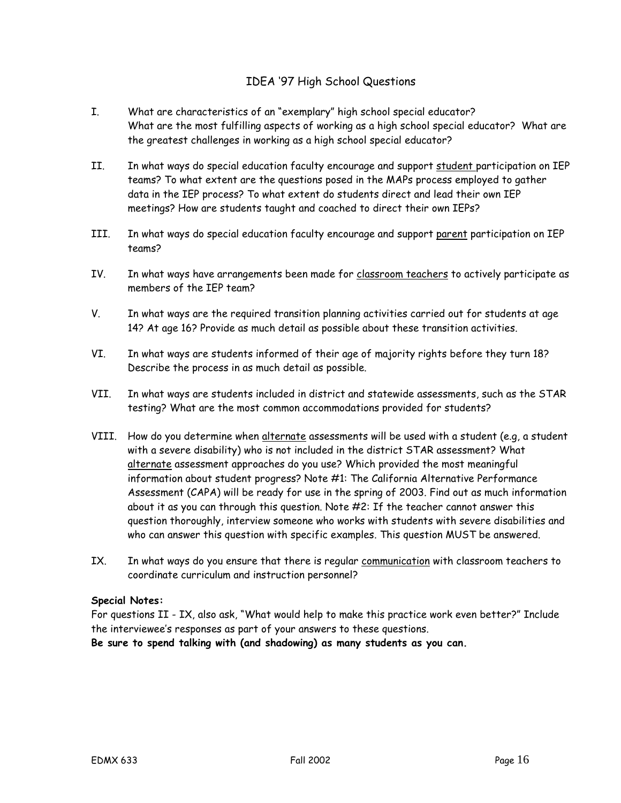# IDEA '97 High School Questions

- I. What are characteristics of an "exemplary" high school special educator? What are the most fulfilling aspects of working as a high school special educator? What are the greatest challenges in working as a high school special educator?
- II. In what ways do special education faculty encourage and support student participation on IEP teams? To what extent are the questions posed in the MAPs process employed to gather data in the IEP process? To what extent do students direct and lead their own IEP meetings? How are students taught and coached to direct their own IEPs?
- III. In what ways do special education faculty encourage and support parent participation on IEP teams?
- IV. In what ways have arrangements been made for classroom teachers to actively participate as members of the IEP team?
- V. In what ways are the required transition planning activities carried out for students at age 14? At age 16? Provide as much detail as possible about these transition activities.
- VI. In what ways are students informed of their age of majority rights before they turn 18? Describe the process in as much detail as possible.
- VII. In what ways are students included in district and statewide assessments, such as the STAR testing? What are the most common accommodations provided for students?
- VIII. How do you determine when alternate assessments will be used with a student (e.g, a student with a severe disability) who is not included in the district STAR assessment? What alternate assessment approaches do you use? Which provided the most meaningful information about student progress? Note #1: The California Alternative Performance Assessment (CAPA) will be ready for use in the spring of 2003. Find out as much information about it as you can through this question. Note #2: If the teacher cannot answer this question thoroughly, interview someone who works with students with severe disabilities and who can answer this question with specific examples. This question MUST be answered.
- IX. In what ways do you ensure that there is regular communication with classroom teachers to coordinate curriculum and instruction personnel?

# **Special Notes:**

For questions II - IX, also ask, "What would help to make this practice work even better?" Include the interviewee's responses as part of your answers to these questions.

**Be sure to spend talking with (and shadowing) as many students as you can.**